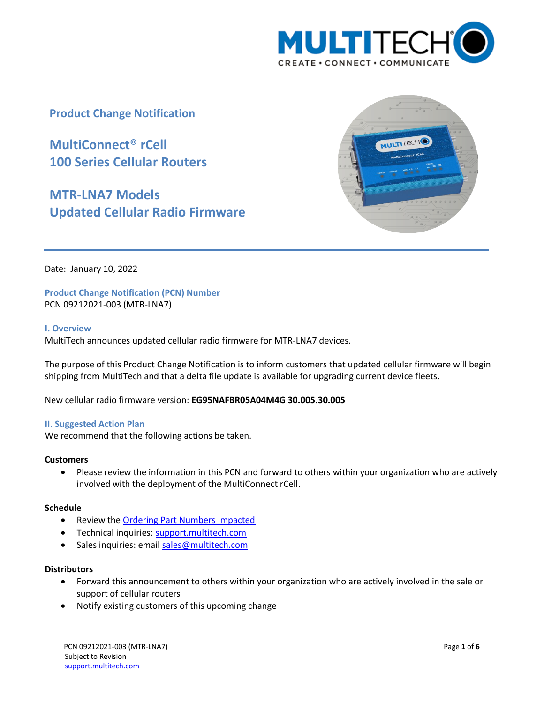

**Product Change Notification**

**MultiConnect® rCell 100 Series Cellular Routers**

**MTR-LNA7 Models Updated Cellular Radio Firmware**



Date: January 10, 2022

**Product Change Notification (PCN) Number**  PCN 09212021-003 (MTR-LNA7)

## **I. Overview**

MultiTech announces updated cellular radio firmware for MTR-LNA7 devices.

The purpose of this Product Change Notification is to inform customers that updated cellular firmware will begin shipping from MultiTech and that a delta file update is available for upgrading current device fleets.

New cellular radio firmware version: **EG95NAFBR05A04M4G 30.005.30.005**

## **II. Suggested Action Plan**

We recommend that the following actions be taken.

## **Customers**

 Please review the information in this PCN and forward to others within your organization who are actively involved with the deployment of the MultiConnect rCell.

## **Schedule**

- Review the [Ordering Part Numbers Impacted](#page-1-0)
- Technical inquiries: support.multitech.com
- Sales inquiries: emai[l sales@multitech.com](mailto:sales@multitech.com?subject=MTR-LEU7%20Cellular%20Radio%20Firmware)

## **Distributors**

- Forward this announcement to others within your organization who are actively involved in the sale or support of cellular routers
- Notify existing customers of this upcoming change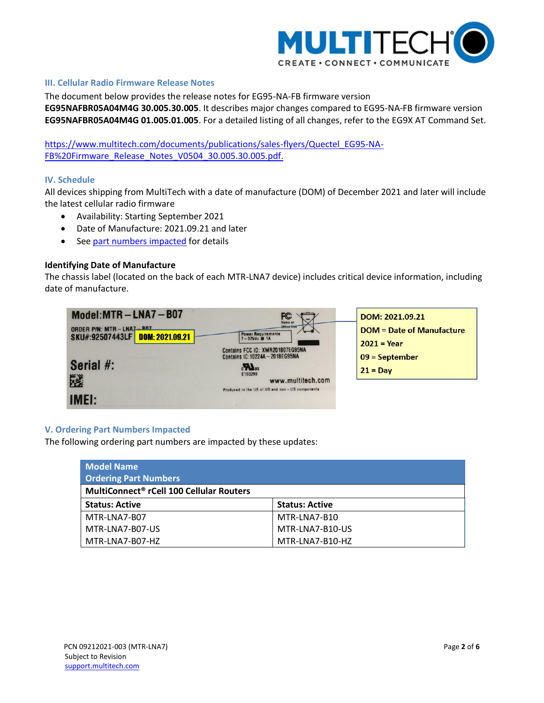

## **III. Cellular Radio Firmware Release Notes**

The document below provides the release notes for EG95-NA-FB firmware version **EG95NAFBR05A04M4G 30.005.30.005**. It describes major changes compared to EG95-NA-FB firmware version **EG95NAFBR05A04M4G 01.005.01.005**. For a detailed listing of all changes, refer to the EG9X AT Command Set.

[https://www.multitech.com/documents/publications/sales-flyers/Quectel\\_EG95-NA-](https://www.multitech.com/documents/publications/sales-flyers/Quectel_EG95-NA-FB%20Firmware_Release_Notes_V0504_30.005.30.005.pdf)[FB%20Firmware\\_Release\\_Notes\\_V0504\\_30.005.30.005.pdf.](https://www.multitech.com/documents/publications/sales-flyers/Quectel_EG95-NA-FB%20Firmware_Release_Notes_V0504_30.005.30.005.pdf)

## **IV. Schedule**

All devices shipping from MultiTech with a date of manufacture (DOM) of December 2021 and later will include the latest cellular radio firmware

- Availability: Starting September 2021
- Date of Manufacture: 2021.09.21 and later
- See [part numbers impacted](#page-1-0) for details

## **Identifying Date of Manufacture**

The chassis label (located on the back of each MTR-LNA7 device) includes critical device information, including date of manufacture.



## <span id="page-1-0"></span>**V. Ordering Part Numbers Impacted**

The following ordering part numbers are impacted by these updates:

| <b>Model Name</b>                                    |                       |  |  |
|------------------------------------------------------|-----------------------|--|--|
| <b>Ordering Part Numbers</b>                         |                       |  |  |
| MultiConnect <sup>®</sup> rCell 100 Cellular Routers |                       |  |  |
| <b>Status: Active</b>                                | <b>Status: Active</b> |  |  |
| MTR-LNA7-B07                                         | MTR-LNA7-B10          |  |  |
| MTR-LNA7-B07-US                                      | MTR-LNA7-B10-US       |  |  |
| MTR-LNA7-B07-HZ                                      | MTR-LNA7-B10-HZ       |  |  |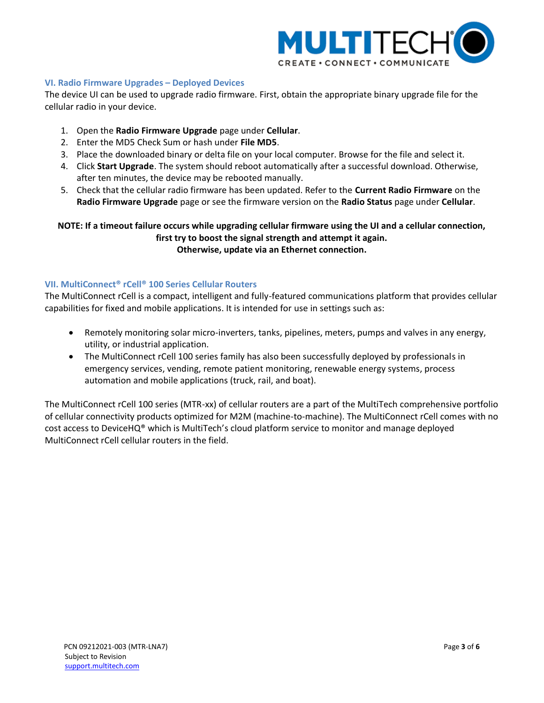

## **VI. Radio Firmware Upgrades – Deployed Devices**

The device UI can be used to upgrade radio firmware. First, obtain the appropriate binary upgrade file for the cellular radio in your device.

- 1. Open the **Radio Firmware Upgrade** page under **Cellular**.
- 2. Enter the MD5 Check Sum or hash under **File MD5**.
- 3. Place the downloaded binary or delta file on your local computer. Browse for the file and select it.
- 4. Click **Start Upgrade**. The system should reboot automatically after a successful download. Otherwise, after ten minutes, the device may be rebooted manually.
- 5. Check that the cellular radio firmware has been updated. Refer to the **Current Radio Firmware** on the **Radio Firmware Upgrade** page or see the firmware version on the **Radio Status** page under **Cellular**.

## **NOTE: If a timeout failure occurs while upgrading cellular firmware using the UI and a cellular connection, first try to boost the signal strength and attempt it again. Otherwise, update via an Ethernet connection.**

## **VII. MultiConnect® rCell® 100 Series Cellular Routers**

The MultiConnect rCell is a compact, intelligent and fully-featured communications platform that provides cellular capabilities for fixed and mobile applications. It is intended for use in settings such as:

- Remotely monitoring solar micro-inverters, tanks, pipelines, meters, pumps and valves in any energy, utility, or industrial application.
- The MultiConnect rCell 100 series family has also been successfully deployed by professionals in emergency services, vending, remote patient monitoring, renewable energy systems, process automation and mobile applications (truck, rail, and boat).

The MultiConnect rCell 100 series (MTR-xx) of cellular routers are a part of the MultiTech comprehensive portfolio of cellular connectivity products optimized for M2M (machine-to-machine). The MultiConnect rCell comes with no cost access to DeviceHQ® which is MultiTech's cloud platform service to monitor and manage deployed MultiConnect rCell cellular routers in the field.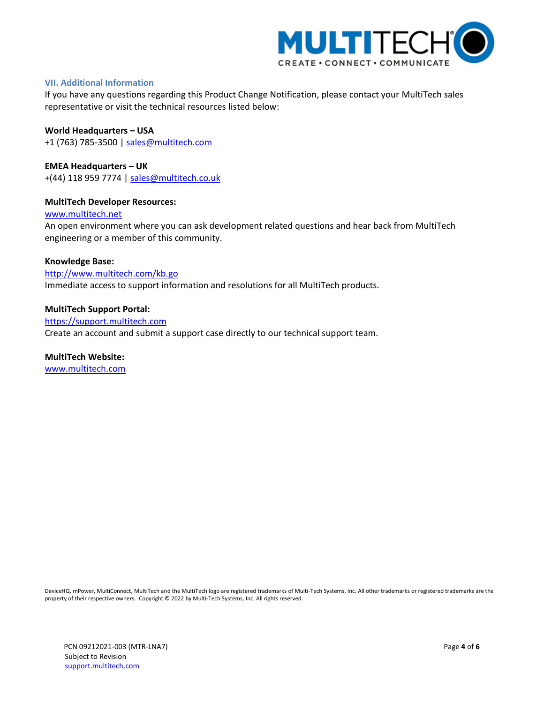

## **VII. Additional Information**

If you have any questions regarding this Product Change Notification, please contact your MultiTech sales representative or visit the technical resources listed below:

# **World Headquarters – USA**

+1 (763) 785-3500 | [sales@multitech.com](mailto:sales@multitech.com?subject=MTR-LEU7%20Cellular%20Radio%20Firmware)

**EMEA Headquarters – UK** +(44) 118 959 7774 | [sales@multitech.co.uk](mailto:sales@multitech.co.uk)

## **MultiTech Developer Resources:**

[www.multitech.net](http://www.multitech.net/)

An open environment where you can ask development related questions and hear back from MultiTech engineering or a member of this community.

## **Knowledge Base:**

<http://www.multitech.com/kb.go> Immediate access to support information and resolutions for all MultiTech products.

## **MultiTech Support Portal:**

[https://support.multitech.com](https://support.multitech.com/) Create an account and submit a support case directly to our technical support team.

## **MultiTech Website:**

[www.multitech.com](http://www.multitech.com/)

DeviceHQ, mPower, MultiConnect, MultiTech and the MultiTech logo are registered trademarks of Multi-Tech Systems, Inc. All other trademarks or registered trademarks are the property of their respective owners. Copyright © 2022 by Multi-Tech Systems, Inc. All rights reserved.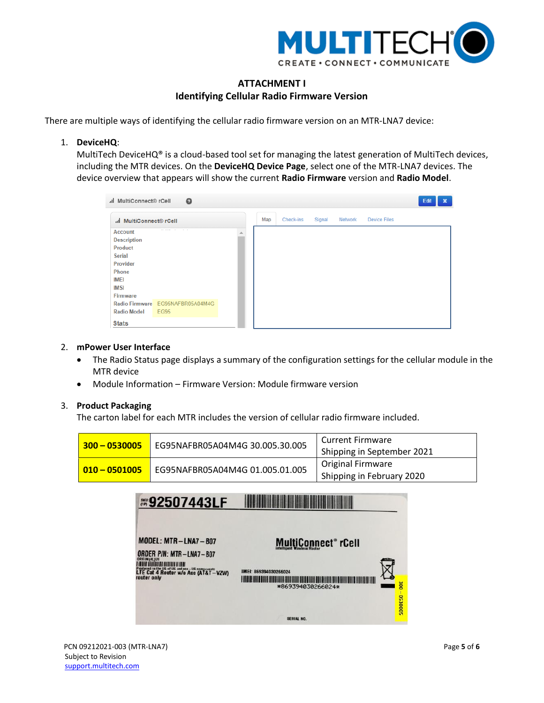

# **ATTACHMENT I Identifying Cellular Radio Firmware Version**

There are multiple ways of identifying the cellular radio firmware version on an MTR-LNA7 device:

1. **DeviceHQ**:

MultiTech DeviceHQ® is a cloud-based tool set for managing the latest generation of MultiTech devices, including the MTR devices. On the **DeviceHQ Device Page**, select one of the MTR-LNA7 devices. The device overview that appears will show the current **Radio Firmware** version and **Radio Model**.

| .il MultiConnect® rCell                                                                                                         | $\boldsymbol{\Theta}$                           |     |           |        |         |                     | Edit | $\boldsymbol{\mathsf{x}}$ |
|---------------------------------------------------------------------------------------------------------------------------------|-------------------------------------------------|-----|-----------|--------|---------|---------------------|------|---------------------------|
| MultiConnect® rCell                                                                                                             |                                                 | Map | Check-ins | Signal | Network | <b>Device Files</b> |      |                           |
| <b>Account</b><br><b>Description</b><br>Product<br><b>Serial</b><br>Provider<br>Phone<br><b>IMEI</b><br><b>IMSI</b><br>Firmware |                                                 |     |           |        |         |                     |      |                           |
| <b>Radio Model</b>                                                                                                              | Radio Firmware EG95NAFBR05A04M4G<br><b>EG95</b> |     |           |        |         |                     |      |                           |
| <b>Stats</b>                                                                                                                    |                                                 |     |           |        |         |                     |      |                           |

## 2. **mPower User Interface**

- The Radio Status page displays a summary of the configuration settings for the cellular module in the MTR device
- Module Information Firmware Version: Module firmware version

## 3. **Product Packaging**

The carton label for each MTR includes the version of cellular radio firmware included.

| $300 - 0530005$ | EG95NAFBR05A04M4G 30.005.30.005 | <b>Current Firmware</b><br>Shipping in September 2021 |
|-----------------|---------------------------------|-------------------------------------------------------|
| $010 - 0501005$ | EG95NAFBR05A04M4G 01.005.01.005 | <b>Original Firmware</b><br>Shipping in February 2020 |

| <b><b>◎92507443LF</b></b>                                                                                                                                               |                                                                   |                         |
|-------------------------------------------------------------------------------------------------------------------------------------------------------------------------|-------------------------------------------------------------------|-------------------------|
| MODEL: MTR-LNA7-B07<br>ORDER P/N: MTR-LNA7-B07<br>ORIGIN:(4L)US<br>Produced in the US of US and non-US components<br>LTE Cat 4 Router w/o Acc (AT&T-VZW)<br>router only | MultiConnect® rCell<br>IMEI: 869394030266024<br>*869394030266024* | $rac{1}{200}$<br>530005 |
|                                                                                                                                                                         | SERIAL NO.                                                        |                         |